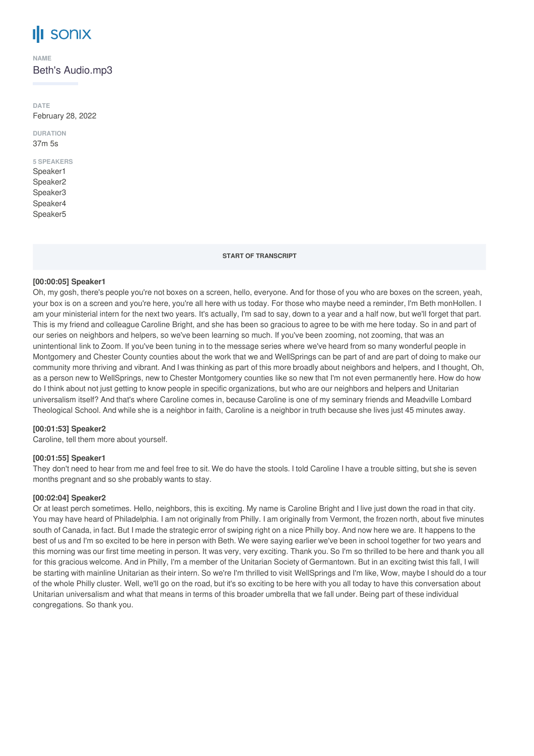# **SONIX**

**NAME**

Beth's Audio.mp3

**DATE** February 28, 2022

**DURATION** 37m 5s

# **5 SPEAKERS**

Speaker1 Speaker2 Speaker3 Speaker4 Speaker5

**START OF TRANSCRIPT**

# **[00:00:05] Speaker1**

Oh, my gosh, there's people you're not boxes on a screen, hello, everyone. And for those of you who are boxes on the screen, yeah, your box is on a screen and you're here, you're all here with us today. For those who maybe need a reminder, I'm Beth monHollen. I am your ministerial intern for the next two years. It's actually, I'm sad to say, down to a year and a half now, but we'll forget that part. This is my friend and colleague Caroline Bright, and she has been so gracious to agree to be with me here today. So in and part of our series on neighbors and helpers, so we've been learning so much. If you've been zooming, not zooming, that was an unintentional link to Zoom. If you've been tuning in to the message series where we've heard from so many wonderful people in Montgomery and Chester County counties about the work that we and WellSprings can be part of and are part of doing to make our community more thriving and vibrant. And I was thinking as part of this more broadly about neighbors and helpers, and I thought, Oh, as a person new to WellSprings, new to Chester Montgomery counties like so new that I'm not even permanently here. How do how do I think about not just getting to know people in specific organizations, but who are our neighbors and helpers and Unitarian universalism itself? And that's where Caroline comes in, because Caroline is one of my seminary friends and Meadville Lombard Theological School. And while she is a neighbor in faith, Caroline is a neighbor in truth because she lives just 45 minutes away.

# **[00:01:53] Speaker2**

Caroline, tell them more about yourself.

# **[00:01:55] Speaker1**

They don't need to hear from me and feel free to sit. We do have the stools. I told Caroline I have a trouble sitting, but she is seven months pregnant and so she probably wants to stay.

# **[00:02:04] Speaker2**

Or at least perch sometimes. Hello, neighbors, this is exciting. My name is Caroline Bright and I live just down the road in that city. You may have heard of Philadelphia. I am not originally from Philly. I am originally from Vermont, the frozen north, about five minutes south of Canada, in fact. But I made the strategic error of swiping right on a nice Philly boy. And now here we are. It happens to the best of us and I'm so excited to be here in person with Beth. We were saying earlier we've been in school together for two years and this morning was our first time meeting in person. It was very, very exciting. Thank you. So I'm so thrilled to be here and thank you all for this gracious welcome. And in Philly, I'm a member of the Unitarian Society of Germantown. But in an exciting twist this fall, I will be starting with mainline Unitarian as their intern. So we're I'm thrilled to visit WellSprings and I'm like, Wow, maybe I should do a tour of the whole Philly cluster. Well, we'll go on the road, but it's so exciting to be here with you all today to have this conversation about Unitarian universalism and what that means in terms of this broader umbrella that we fall under. Being part of these individual congregations. So thank you.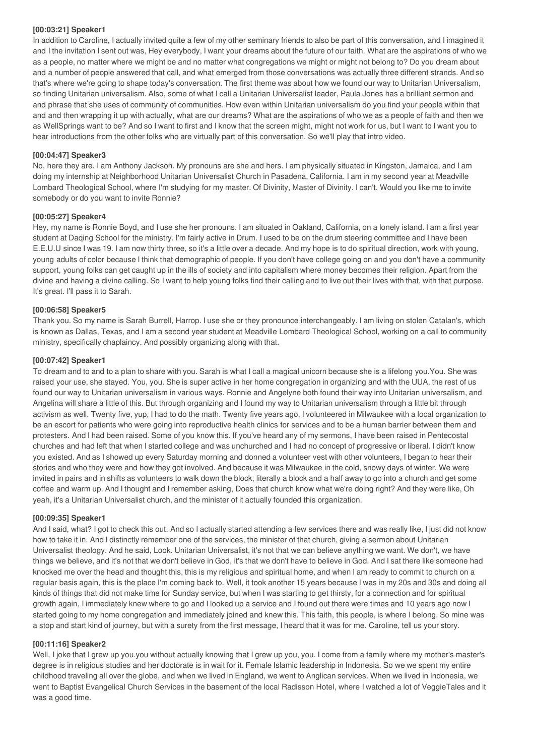#### **[00:03:21] Speaker1**

In addition to Caroline, I actually invited quite a few of my other seminary friends to also be part of this conversation, and I imagined it and I the invitation I sent out was, Hey everybody, I want your dreams about the future of our faith. What are the aspirations of who we as a people, no matter where we might be and no matter what congregations we might or might not belong to? Do you dream about and a number of people answered that call, and what emerged from those conversations was actually three different strands. And so that's where we're going to shape today's conversation. The first theme was about how we found our way to Unitarian Universalism, so finding Unitarian universalism. Also, some of what I call a Unitarian Universalist leader, Paula Jones has a brilliant sermon and and phrase that she uses of community of communities. How even within Unitarian universalism do you find your people within that and and then wrapping it up with actually, what are our dreams? What are the aspirations of who we as a people of faith and then we as WellSprings want to be? And so I want to first and I know that the screen might, might not work for us, but I want to I want you to hear introductions from the other folks who are virtually part of this conversation. So we'll play that intro video.

# **[00:04:47] Speaker3**

No, here they are. I am Anthony Jackson. My pronouns are she and hers. I am physically situated in Kingston, Jamaica, and I am doing my internship at Neighborhood Unitarian Universalist Church in Pasadena, California. I am in my second year at Meadville Lombard Theological School, where I'm studying for my master. Of Divinity, Master of Divinity. I can't. Would you like me to invite somebody or do you want to invite Ronnie?

#### **[00:05:27] Speaker4**

Hey, my name is Ronnie Boyd, and I use she her pronouns. I am situated in Oakland, California, on a lonely island. I am a first year student at Daqing School for the ministry. I'm fairly active in Drum. I used to be on the drum steering committee and I have been E.E.U.U since I was 19. I am now thirty three, so it's a little over a decade. And my hope is to do spiritual direction, work with young, young adults of color because I think that demographic of people. If you don't have college going on and you don't have a community support, young folks can get caught up in the ills of society and into capitalism where money becomes their religion. Apart from the divine and having a divine calling. So I want to help young folks find their calling and to live out their lives with that, with that purpose. It's great. I'll pass it to Sarah.

#### **[00:06:58] Speaker5**

Thank you. So my name is Sarah Burrell, Harrop. I use she or they pronounce interchangeably. I am living on stolen Catalan's, which is known as Dallas, Texas, and I am a second year student at Meadville Lombard Theological School, working on a call to community ministry, specifically chaplaincy. And possibly organizing along with that.

#### **[00:07:42] Speaker1**

To dream and to and to a plan to share with you. Sarah is what I call a magical unicorn because she is a lifelong you.You. She was raised your use, she stayed. You, you. She is super active in her home congregation in organizing and with the UUA, the rest of us found our way to Unitarian universalism in various ways. Ronnie and Angelyne both found their way into Unitarian universalism, and Angelina will share a little of this. But through organizing and I found my way to Unitarian universalism through a little bit through activism as well. Twenty five, yup, I had to do the math. Twenty five years ago, I volunteered in Milwaukee with a local organization to be an escort for patients who were going into reproductive health clinics for services and to be a human barrier between them and protesters. And I had been raised. Some of you know this. If you've heard any of my sermons, I have been raised in Pentecostal churches and had left that when I started college and was unchurched and I had no concept of progressive or liberal. I didn't know you existed. And as I showed up every Saturday morning and donned a volunteer vest with other volunteers, I began to hear their stories and who they were and how they got involved. And because it was Milwaukee in the cold, snowy days of winter. We were invited in pairs and in shifts as volunteers to walk down the block, literally a block and a half away to go into a church and get some coffee and warm up. And I thought and I remember asking, Does that church know what we're doing right? And they were like, Oh yeah, it's a Unitarian Universalist church, and the minister of it actually founded this organization.

#### **[00:09:35] Speaker1**

And I said, what? I got to check this out. And so I actually started attending a few services there and was really like, I just did not know how to take it in. And I distinctly remember one of the services, the minister of that church, giving a sermon about Unitarian Universalist theology. And he said, Look. Unitarian Universalist, it's not that we can believe anything we want. We don't, we have things we believe, and it's not that we don't believe in God, it's that we don't have to believe in God. And I sat there like someone had knocked me over the head and thought this, this is my religious and spiritual home, and when I am ready to commit to church on a regular basis again, this is the place I'm coming back to. Well, it took another 15 years because I was in my 20s and 30s and doing all kinds of things that did not make time for Sunday service, but when I was starting to get thirsty, for a connection and for spiritual growth again, I immediately knew where to go and I looked up a service and I found out there were times and 10 years ago now I started going to my home congregation and immediately joined and knew this. This faith, this people, is where I belong. So mine was a stop and start kind of journey, but with a surety from the first message, I heard that it was for me. Caroline, tell us your story.

#### **[00:11:16] Speaker2**

Well, I joke that I grew up you.you without actually knowing that I grew up you, you. I come from a family where my mother's master's degree is in religious studies and her doctorate is in wait for it. Female Islamic leadership in Indonesia. So we we spent my entire childhood traveling all over the globe, and when we lived in England, we went to Anglican services. When we lived in Indonesia, we went to Baptist Evangelical Church Services in the basement of the local Radisson Hotel, where I watched a lot of VeggieTales and it was a good time.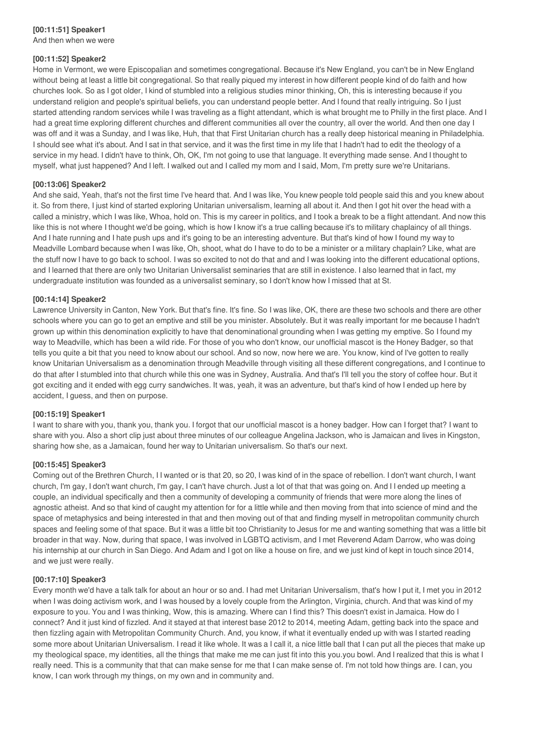# **[00:11:51] Speaker1**

And then when we were

#### **[00:11:52] Speaker2**

Home in Vermont, we were Episcopalian and sometimes congregational. Because it's New England, you can't be in New England without being at least a little bit congregational. So that really piqued my interest in how different people kind of do faith and how churches look. So as I got older, I kind of stumbled into a religious studies minor thinking, Oh, this is interesting because if you understand religion and people's spiritual beliefs, you can understand people better. And I found that really intriguing. So I just started attending random services while I was traveling as a flight attendant, which is what brought me to Philly in the first place. And I had a great time exploring different churches and different communities all over the country, all over the world. And then one day I was off and it was a Sunday, and I was like, Huh, that that First Unitarian church has a really deep historical meaning in Philadelphia. I should see what it's about. And I sat in that service, and it was the first time in my life that I hadn't had to edit the theology of a service in my head. I didn't have to think, Oh, OK, I'm not going to use that language. It everything made sense. And I thought to myself, what just happened? And I left. I walked out and I called my mom and I said, Mom, I'm pretty sure we're Unitarians.

#### **[00:13:06] Speaker2**

And she said, Yeah, that's not the first time I've heard that. And I was like, You knew people told people said this and you knew about it. So from there, I just kind of started exploring Unitarian universalism, learning all about it. And then I got hit over the head with a called a ministry, which I was like, Whoa, hold on. This is my career in politics, and I took a break to be a flight attendant. And now this like this is not where I thought we'd be going, which is how I know it's a true calling because it's to military chaplaincy of all things. And I hate running and I hate push ups and it's going to be an interesting adventure. But that's kind of how I found my way to Meadville Lombard because when I was like, Oh, shoot, what do I have to do to be a minister or a military chaplain? Like, what are the stuff now I have to go back to school. I was so excited to not do that and and I was looking into the different educational options, and I learned that there are only two Unitarian Universalist seminaries that are still in existence. I also learned that in fact, my undergraduate institution was founded as a universalist seminary, so I don't know how I missed that at St.

#### **[00:14:14] Speaker2**

Lawrence University in Canton, New York. But that's fine. It's fine. So I was like, OK, there are these two schools and there are other schools where you can go to get an emptive and still be you minister. Absolutely. But it was really important for me because I hadn't grown up within this denomination explicitly to have that denominational grounding when I was getting my emptive. So I found my way to Meadville, which has been a wild ride. For those of you who don't know, our unofficial mascot is the Honey Badger, so that tells you quite a bit that you need to know about our school. And so now, now here we are. You know, kind of I've gotten to really know Unitarian Universalism as a denomination through Meadville through visiting all these different congregations, and I continue to do that after I stumbled into that church while this one was in Sydney, Australia. And that's I'll tell you the story of coffee hour. But it got exciting and it ended with egg curry sandwiches. It was, yeah, it was an adventure, but that's kind of how I ended up here by accident, I guess, and then on purpose.

#### **[00:15:19] Speaker1**

I want to share with you, thank you, thank you. I forgot that our unofficial mascot is a honey badger. How can I forget that? I want to share with you. Also a short clip just about three minutes of our colleague Angelina Jackson, who is Jamaican and lives in Kingston, sharing how she, as a Jamaican, found her way to Unitarian universalism. So that's our next.

# **[00:15:45] Speaker3**

Coming out of the Brethren Church, I I wanted or is that 20, so 20, I was kind of in the space of rebellion. I don't want church, I want church, I'm gay, I don't want church, I'm gay, I can't have church. Just a lot of that that was going on. And I I ended up meeting a couple, an individual specifically and then a community of developing a community of friends that were more along the lines of agnostic atheist. And so that kind of caught my attention for for a little while and then moving from that into science of mind and the space of metaphysics and being interested in that and then moving out of that and finding myself in metropolitan community church spaces and feeling some of that space. But it was a little bit too Christianity to Jesus for me and wanting something that was a little bit broader in that way. Now, during that space, I was involved in LGBTQ activism, and I met Reverend Adam Darrow, who was doing his internship at our church in San Diego. And Adam and I got on like a house on fire, and we just kind of kept in touch since 2014, and we just were really.

#### **[00:17:10] Speaker3**

Every month we'd have a talk talk for about an hour or so and. I had met Unitarian Universalism, that's how I put it, I met you in 2012 when I was doing activism work, and I was housed by a lovely couple from the Arlington, Virginia, church. And that was kind of my exposure to you. You and I was thinking, Wow, this is amazing. Where can I find this? This doesn't exist in Jamaica. How do I connect? And it just kind of fizzled. And it stayed at that interest base 2012 to 2014, meeting Adam, getting back into the space and then fizzling again with Metropolitan Community Church. And, you know, if what it eventually ended up with was I started reading some more about Unitarian Universalism. I read it like whole. It was a I call it, a nice little ball that I can put all the pieces that make up my theological space, my identities, all the things that make me me can just fit into this you.you bowl. And I realized that this is what I really need. This is a community that that can make sense for me that I can make sense of. I'm not told how things are. I can, you know, I can work through my things, on my own and in community and.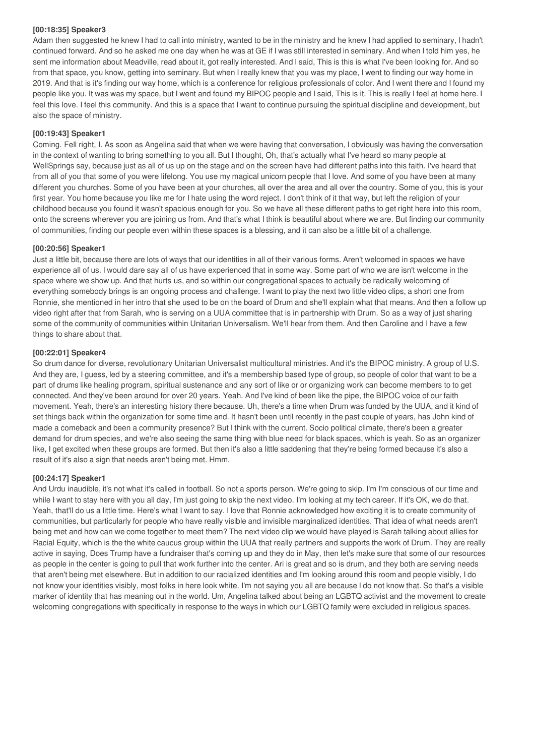#### **[00:18:35] Speaker3**

Adam then suggested he knew I had to call into ministry, wanted to be in the ministry and he knew I had applied to seminary, I hadn't continued forward. And so he asked me one day when he was at GE if I was still interested in seminary. And when I told him yes, he sent me information about Meadville, read about it, got really interested. And I said, This is this is what I've been looking for. And so from that space, you know, getting into seminary. But when I really knew that you was my place, I went to finding our way home in 2019. And that is it's finding our way home, which is a conference for religious professionals of color. And I went there and I found my people like you. It was was my space, but I went and found my BIPOC people and I said, This is it. This is really I feel at home here. I feel this love. I feel this community. And this is a space that I want to continue pursuing the spiritual discipline and development, but also the space of ministry.

# **[00:19:43] Speaker1**

Coming. Fell right, I. As soon as Angelina said that when we were having that conversation, I obviously was having the conversation in the context of wanting to bring something to you all. But I thought, Oh, that's actually what I've heard so many people at WellSprings say, because just as all of us up on the stage and on the screen have had different paths into this faith. I've heard that from all of you that some of you were lifelong. You use my magical unicorn people that I love. And some of you have been at many different you churches. Some of you have been at your churches, all over the area and all over the country. Some of you, this is your first year. You home because you like me for I hate using the word reject. I don't think of it that way, but left the religion of your childhood because you found it wasn't spacious enough for you. So we have all these different paths to get right here into this room, onto the screens wherever you are joining us from. And that's what I think is beautiful about where we are. But finding our community of communities, finding our people even within these spaces is a blessing, and it can also be a little bit of a challenge.

# **[00:20:56] Speaker1**

Just a little bit, because there are lots of ways that our identities in all of their various forms. Aren't welcomed in spaces we have experience all of us. I would dare say all of us have experienced that in some way. Some part of who we are isn't welcome in the space where we show up. And that hurts us, and so within our congregational spaces to actually be radically welcoming of everything somebody brings is an ongoing process and challenge. I want to play the next two little video clips, a short one from Ronnie, she mentioned in her intro that she used to be on the board of Drum and she'll explain what that means. And then a follow up video right after that from Sarah, who is serving on a UUA committee that is in partnership with Drum. So as a way of just sharing some of the community of communities within Unitarian Universalism. We'll hear from them. And then Caroline and I have a few things to share about that.

#### **[00:22:01] Speaker4**

So drum dance for diverse, revolutionary Unitarian Universalist multicultural ministries. And it's the BIPOC ministry. A group of U.S. And they are, I guess, led by a steering committee, and it's a membership based type of group, so people of color that want to be a part of drums like healing program, spiritual sustenance and any sort of like or or organizing work can become members to to get connected. And they've been around for over 20 years. Yeah. And I've kind of been like the pipe, the BIPOC voice of our faith movement. Yeah, there's an interesting history there because. Uh, there's a time when Drum was funded by the UUA, and it kind of set things back within the organization for some time and. It hasn't been until recently in the past couple of years, has John kind of made a comeback and been a community presence? But I think with the current. Socio political climate, there's been a greater demand for drum species, and we're also seeing the same thing with blue need for black spaces, which is yeah. So as an organizer like, I get excited when these groups are formed. But then it's also a little saddening that they're being formed because it's also a result of it's also a sign that needs aren't being met. Hmm.

# **[00:24:17] Speaker1**

And Urdu inaudible, it's not what it's called in football. So not a sports person. We're going to skip. I'm I'm conscious of our time and while I want to stay here with you all day, I'm just going to skip the next video. I'm looking at my tech career. If it's OK, we do that. Yeah, that'll do us a little time. Here's what I want to say. I love that Ronnie acknowledged how exciting it is to create community of communities, but particularly for people who have really visible and invisible marginalized identities. That idea of what needs aren't being met and how can we come together to meet them? The next video clip we would have played is Sarah talking about allies for Racial Equity, which is the the white caucus group within the UUA that really partners and supports the work of Drum. They are really active in saying, Does Trump have a fundraiser that's coming up and they do in May, then let's make sure that some of our resources as people in the center is going to pull that work further into the center. Ari is great and so is drum, and they both are serving needs that aren't being met elsewhere. But in addition to our racialized identities and I'm looking around this room and people visibly, I do not know your identities visibly, most folks in here look white. I'm not saying you all are because I do not know that. So that's a visible marker of identity that has meaning out in the world. Um, Angelina talked about being an LGBTQ activist and the movement to create welcoming congregations with specifically in response to the ways in which our LGBTQ family were excluded in religious spaces.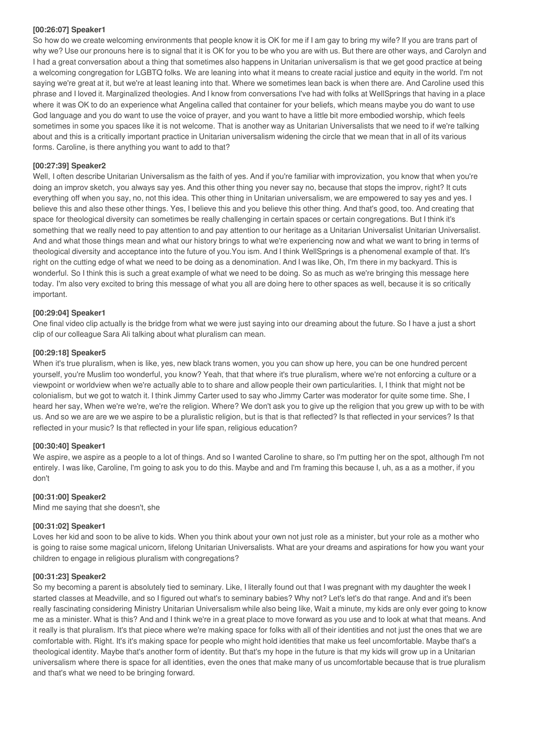#### **[00:26:07] Speaker1**

So how do we create welcoming environments that people know it is OK for me if I am gay to bring my wife? If you are trans part of why we? Use our pronouns here is to signal that it is OK for you to be who you are with us. But there are other ways, and Carolyn and I had a great conversation about a thing that sometimes also happens in Unitarian universalism is that we get good practice at being a welcoming congregation for LGBTQ folks. We are leaning into what it means to create racial justice and equity in the world. I'm not saying we're great at it, but we're at least leaning into that. Where we sometimes lean back is when there are. And Caroline used this phrase and I loved it. Marginalized theologies. And I know from conversations I've had with folks at WellSprings that having in a place where it was OK to do an experience what Angelina called that container for your beliefs, which means maybe you do want to use God language and you do want to use the voice of prayer, and you want to have a little bit more embodied worship, which feels sometimes in some you spaces like it is not welcome. That is another way as Unitarian Universalists that we need to if we're talking about and this is a critically important practice in Unitarian universalism widening the circle that we mean that in all of its various forms. Caroline, is there anything you want to add to that?

# **[00:27:39] Speaker2**

Well, I often describe Unitarian Universalism as the faith of yes. And if you're familiar with improvization, you know that when you're doing an improv sketch, you always say yes. And this other thing you never say no, because that stops the improv, right? It cuts everything off when you say, no, not this idea. This other thing in Unitarian universalism, we are empowered to say yes and yes. I believe this and also these other things. Yes, I believe this and you believe this other thing. And that's good, too. And creating that space for theological diversity can sometimes be really challenging in certain spaces or certain congregations. But I think it's something that we really need to pay attention to and pay attention to our heritage as a Unitarian Universalist Unitarian Universalist. And and what those things mean and what our history brings to what we're experiencing now and what we want to bring in terms of theological diversity and acceptance into the future of you.You ism. And I think WellSprings is a phenomenal example of that. It's right on the cutting edge of what we need to be doing as a denomination. And I was like, Oh, I'm there in my backyard. This is wonderful. So I think this is such a great example of what we need to be doing. So as much as we're bringing this message here today. I'm also very excited to bring this message of what you all are doing here to other spaces as well, because it is so critically important.

#### **[00:29:04] Speaker1**

One final video clip actually is the bridge from what we were just saying into our dreaming about the future. So I have a just a short clip of our colleague Sara Ali talking about what pluralism can mean.

#### **[00:29:18] Speaker5**

When it's true pluralism, when is like, yes, new black trans women, you you can show up here, you can be one hundred percent yourself, you're Muslim too wonderful, you know? Yeah, that that where it's true pluralism, where we're not enforcing a culture or a viewpoint or worldview when we're actually able to to share and allow people their own particularities. I, I think that might not be colonialism, but we got to watch it. I think Jimmy Carter used to say who Jimmy Carter was moderator for quite some time. She, I heard her say, When we're we're, we're the religion. Where? We don't ask you to give up the religion that you grew up with to be with us. And so we are are we we aspire to be a pluralistic religion, but is that is that reflected? Is that reflected in your services? Is that reflected in your music? Is that reflected in your life span, religious education?

#### **[00:30:40] Speaker1**

We aspire, we aspire as a people to a lot of things. And so I wanted Caroline to share, so I'm putting her on the spot, although I'm not entirely. I was like, Caroline, I'm going to ask you to do this. Maybe and and I'm framing this because I, uh, as a as a mother, if you don't

#### **[00:31:00] Speaker2**

Mind me saying that she doesn't, she

# **[00:31:02] Speaker1**

Loves her kid and soon to be alive to kids. When you think about your own not just role as a minister, but your role as a mother who is going to raise some magical unicorn, lifelong Unitarian Universalists. What are your dreams and aspirations for how you want your children to engage in religious pluralism with congregations?

#### **[00:31:23] Speaker2**

So my becoming a parent is absolutely tied to seminary. Like, I literally found out that I was pregnant with my daughter the week I started classes at Meadville, and so I figured out what's to seminary babies? Why not? Let's let's do that range. And and it's been really fascinating considering Ministry Unitarian Universalism while also being like, Wait a minute, my kids are only ever going to know me as a minister. What is this? And and I think we're in a great place to move forward as you use and to look at what that means. And it really is that pluralism. It's that piece where we're making space for folks with all of their identities and not just the ones that we are comfortable with. Right. It's it's making space for people who might hold identities that make us feel uncomfortable. Maybe that's a theological identity. Maybe that's another form of identity. But that's my hope in the future is that my kids will grow up in a Unitarian universalism where there is space for all identities, even the ones that make many of us uncomfortable because that is true pluralism and that's what we need to be bringing forward.